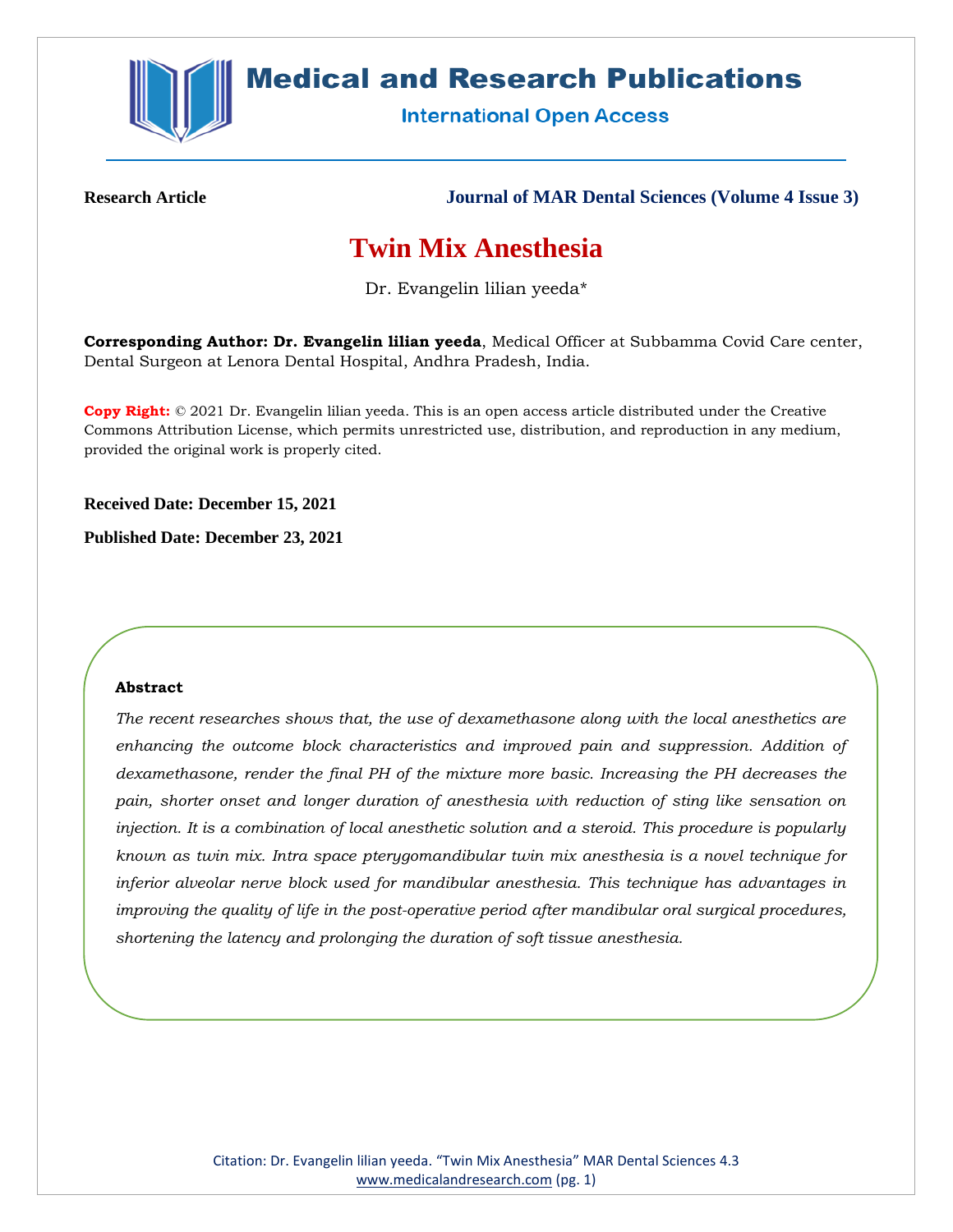

# **Medical and Research Publications**

**International Open Access** 

**Research Article Journal of MAR Dental Sciences (Volume 4 Issue 3)**

# **Twin Mix Anesthesia**

Dr. Evangelin lilian yeeda\*

**Corresponding Author: Dr. Evangelin lilian yeeda**, Medical Officer at Subbamma Covid Care center, Dental Surgeon at Lenora Dental Hospital, Andhra Pradesh, India.

**Copy Right:** © 2021 Dr. Evangelin lilian yeeda. This is an open access article distributed under the Creative Commons Attribution License, which permits unrestricted use, distribution, and reproduction in any medium, provided the original work is properly cited.

**Received Date: December 15, 2021**

**Published Date: December 23, 2021**

## **Abstract**

*The recent researches shows that, the use of dexamethasone along with the local anesthetics are enhancing the outcome block characteristics and improved pain and suppression. Addition of dexamethasone, render the final PH of the mixture more basic. Increasing the PH decreases the pain, shorter onset and longer duration of anesthesia with reduction of sting like sensation on injection. It is a combination of local anesthetic solution and a steroid. This procedure is popularly known as twin mix. Intra space pterygomandibular twin mix anesthesia is a novel technique for inferior alveolar nerve block used for mandibular anesthesia. This technique has advantages in improving the quality of life in the post-operative period after mandibular oral surgical procedures, shortening the latency and prolonging the duration of soft tissue anesthesia.*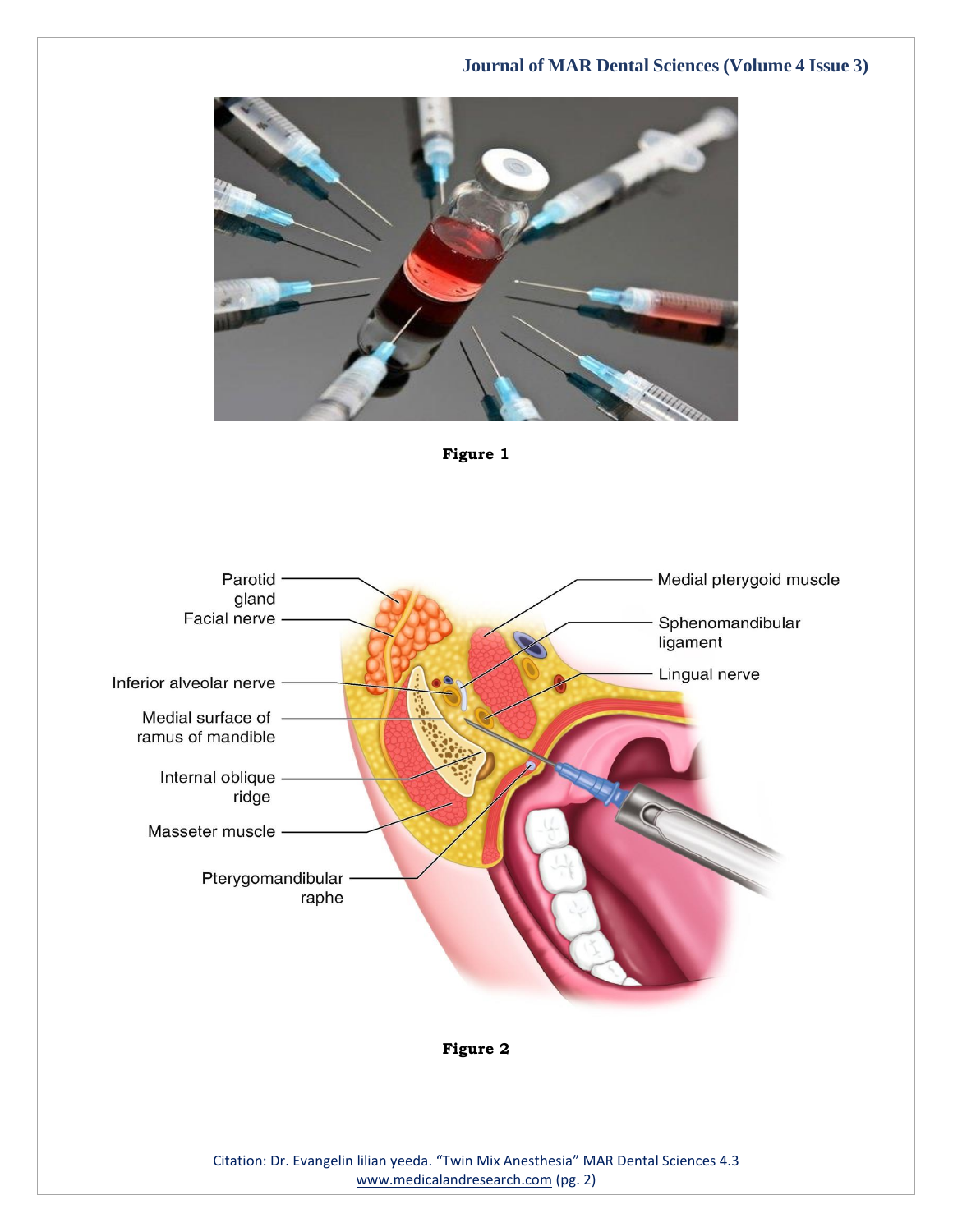



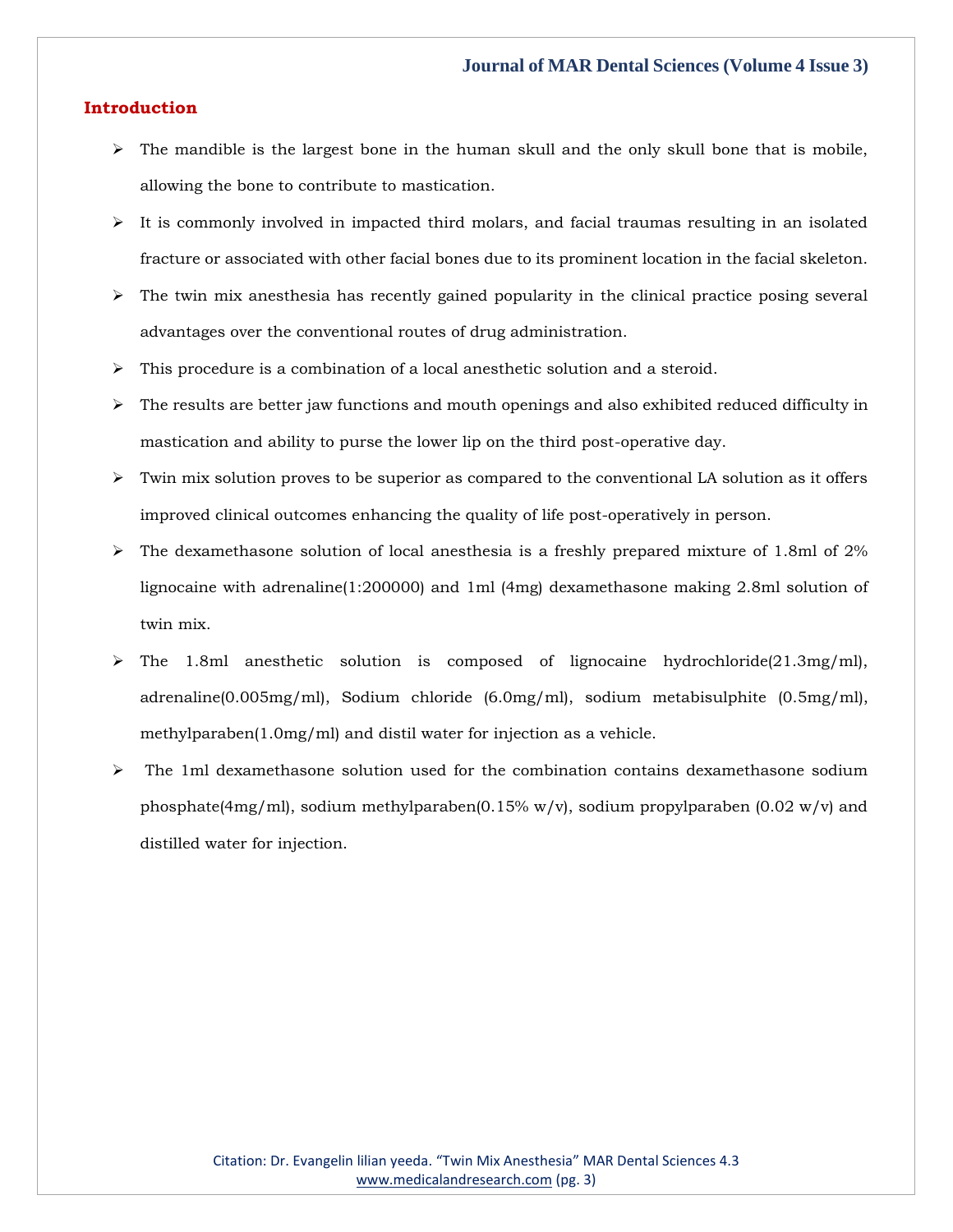#### **Introduction**

- $\triangleright$  The mandible is the largest bone in the human skull and the only skull bone that is mobile, allowing the bone to contribute to mastication.
- $\triangleright$  It is commonly involved in impacted third molars, and facial traumas resulting in an isolated fracture or associated with other facial bones due to its prominent location in the facial skeleton.
- $\triangleright$  The twin mix anesthesia has recently gained popularity in the clinical practice posing several advantages over the conventional routes of drug administration.
- $\triangleright$  This procedure is a combination of a local anesthetic solution and a steroid.
- $\triangleright$  The results are better jaw functions and mouth openings and also exhibited reduced difficulty in mastication and ability to purse the lower lip on the third post-operative day.
- $\triangleright$  Twin mix solution proves to be superior as compared to the conventional LA solution as it offers improved clinical outcomes enhancing the quality of life post-operatively in person.
- $\triangleright$  The dexamethasone solution of local anesthesia is a freshly prepared mixture of 1.8ml of 2% lignocaine with adrenaline(1:200000) and 1ml (4mg) dexamethasone making 2.8ml solution of twin mix.
- ➢ The 1.8ml anesthetic solution is composed of lignocaine hydrochloride(21.3mg/ml), adrenaline(0.005mg/ml), Sodium chloride (6.0mg/ml), sodium metabisulphite (0.5mg/ml), methylparaben(1.0mg/ml) and distil water for injection as a vehicle.
- $\triangleright$  The 1ml dexamethasone solution used for the combination contains dexamethasone sodium phosphate(4mg/ml), sodium methylparaben(0.15% w/v), sodium propylparaben (0.02 w/v) and distilled water for injection.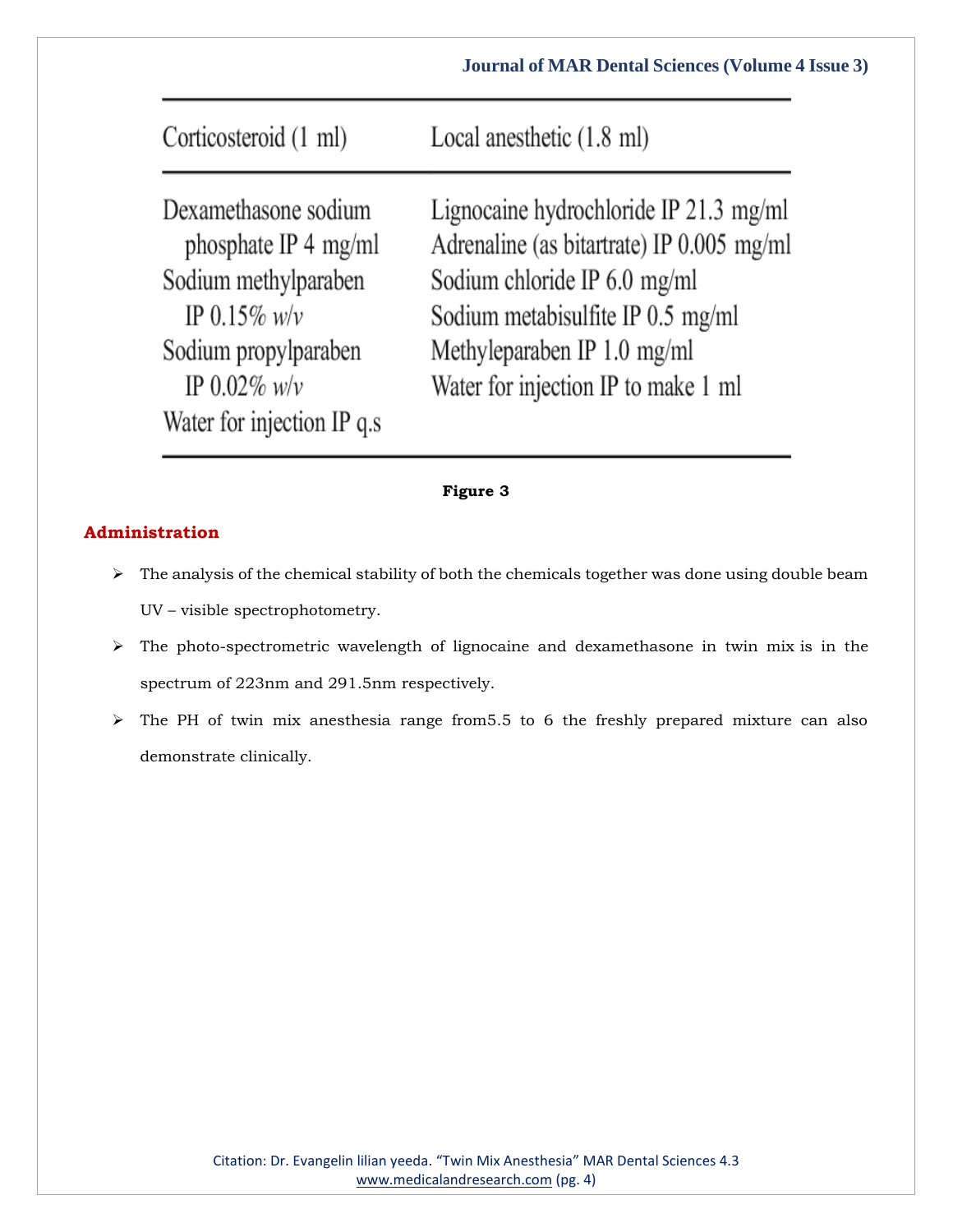| Corticosteroid (1 ml)                                                                                                                                           | Local anesthetic (1.8 ml)                                                                                                                                                                                                      |
|-----------------------------------------------------------------------------------------------------------------------------------------------------------------|--------------------------------------------------------------------------------------------------------------------------------------------------------------------------------------------------------------------------------|
| Dexamethasone sodium<br>phosphate IP 4 mg/ml<br>Sodium methylparaben<br>IP 0.15% $w/v$<br>Sodium propylparaben<br>IP $0.02\%$ w/v<br>Water for injection IP q.s | Lignocaine hydrochloride IP 21.3 mg/ml<br>Adrenaline (as bitartrate) IP 0.005 mg/ml<br>Sodium chloride IP 6.0 mg/ml<br>Sodium metabisulfite IP 0.5 mg/ml<br>Methyleparaben IP 1.0 mg/ml<br>Water for injection IP to make 1 ml |

## **Figure 3**

## **Administration**

- $\triangleright$  The analysis of the chemical stability of both the chemicals together was done using double beam UV – visible spectrophotometry.
- ➢ The photo-spectrometric wavelength of lignocaine and dexamethasone in twin mix is in the spectrum of 223nm and 291.5nm respectively.
- ➢ The PH of twin mix anesthesia range from5.5 to 6 the freshly prepared mixture can also demonstrate clinically.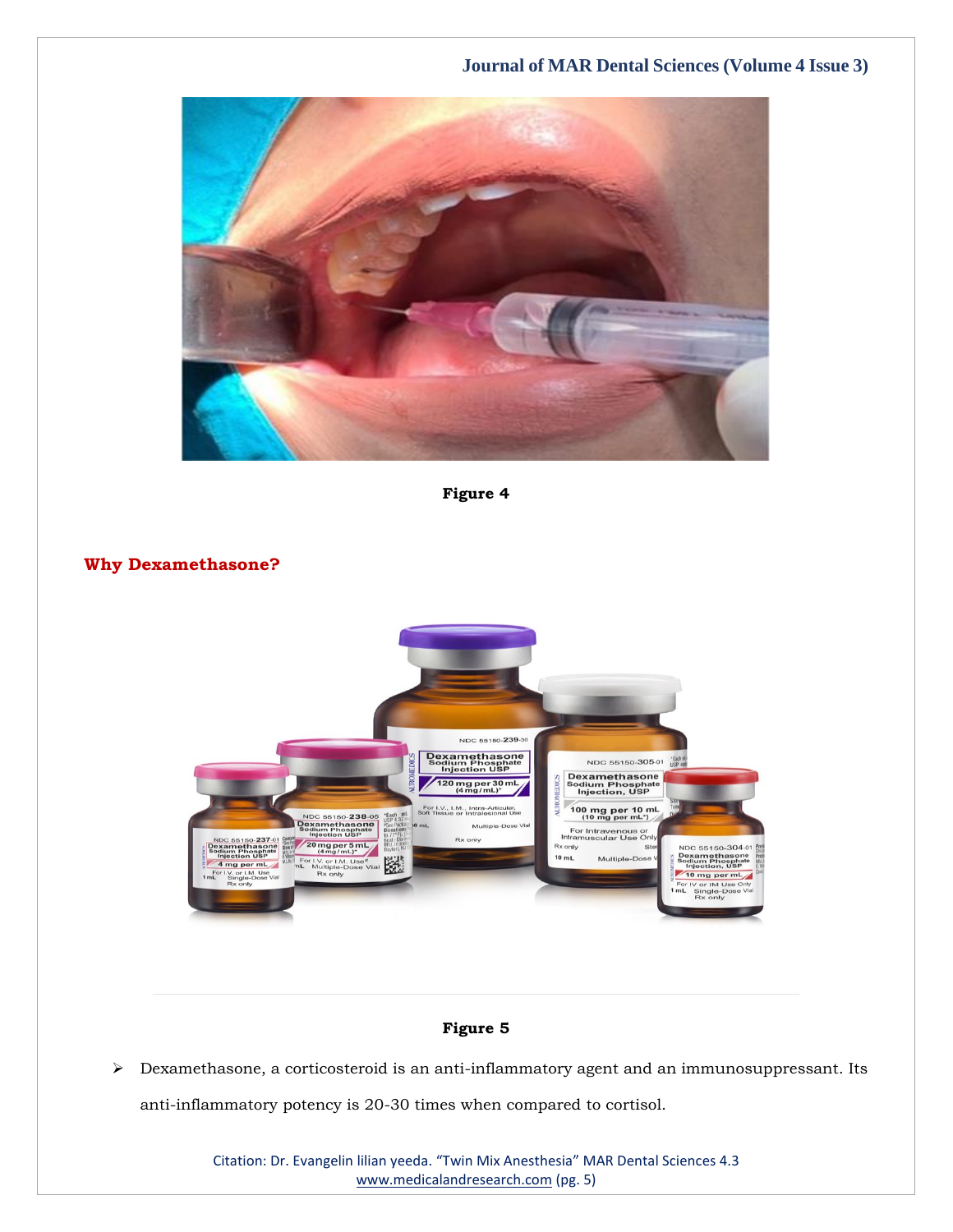

**Figure 4**

**Why Dexamethasone?**



## **Figure 5**

➢ Dexamethasone, a corticosteroid is an anti-inflammatory agent and an immunosuppressant. Its anti-inflammatory potency is 20-30 times when compared to cortisol.

> Citation: Dr. Evangelin lilian yeeda. "Twin Mix Anesthesia" MAR Dental Sciences 4.3 [www.medicalandresearch.com](http://www.medicalandresearch.com/) (pg. 5)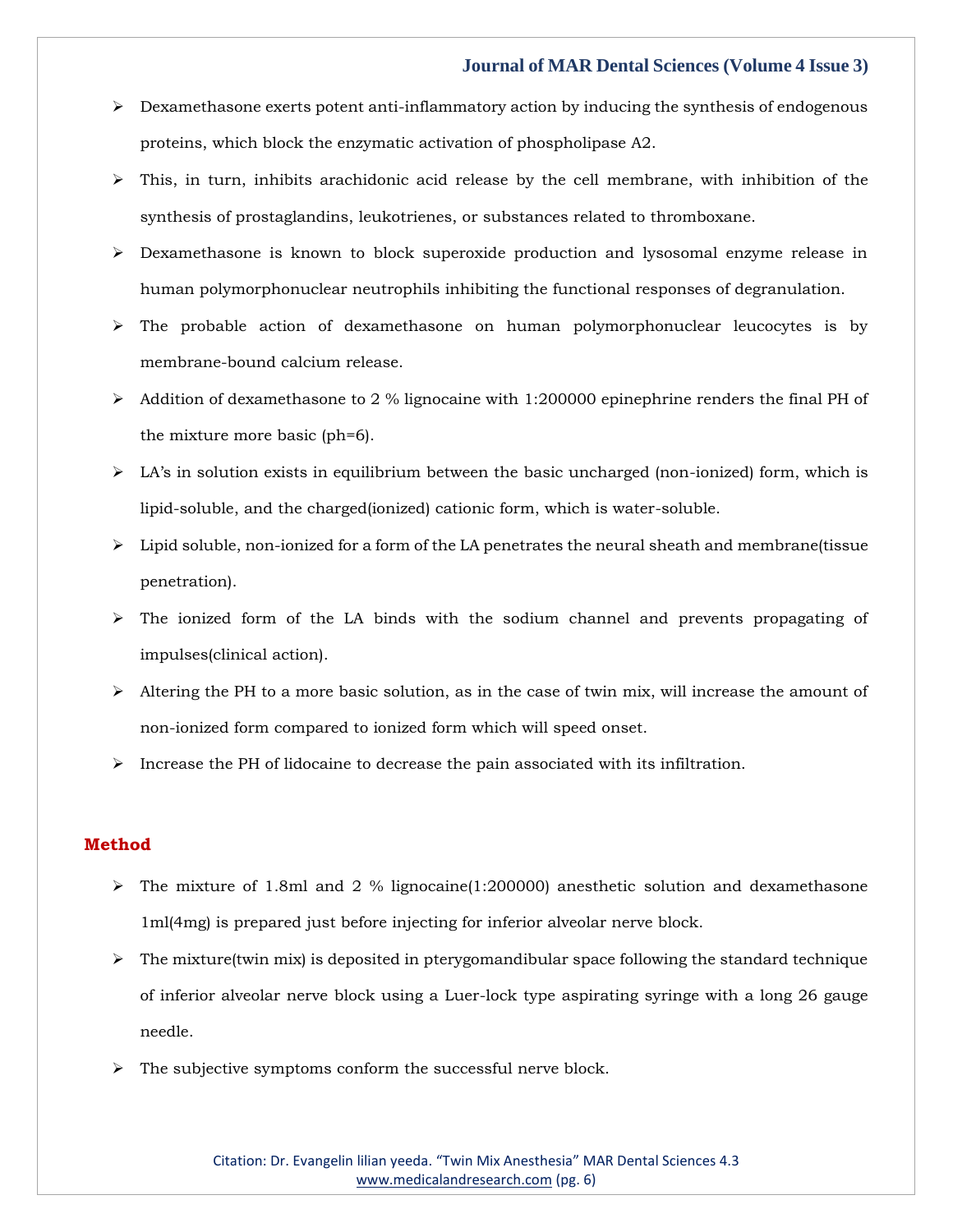- $\triangleright$  Dexamethasone exerts potent anti-inflammatory action by inducing the synthesis of endogenous proteins, which block the enzymatic activation of phospholipase A2.
- $\triangleright$  This, in turn, inhibits arachidonic acid release by the cell membrane, with inhibition of the synthesis of prostaglandins, leukotrienes, or substances related to thromboxane.
- ➢ Dexamethasone is known to block superoxide production and lysosomal enzyme release in human polymorphonuclear neutrophils inhibiting the functional responses of degranulation.
- ➢ The probable action of dexamethasone on human polymorphonuclear leucocytes is by membrane-bound calcium release.
- ➢ Addition of dexamethasone to 2 % lignocaine with 1:200000 epinephrine renders the final PH of the mixture more basic (ph=6).
- $\triangleright$  LA's in solution exists in equilibrium between the basic uncharged (non-ionized) form, which is lipid-soluble, and the charged(ionized) cationic form, which is water-soluble.
- $\triangleright$  Lipid soluble, non-ionized for a form of the LA penetrates the neural sheath and membrane(tissue penetration).
- $\geq$  The ionized form of the LA binds with the sodium channel and prevents propagating of impulses(clinical action).
- $\triangleright$  Altering the PH to a more basic solution, as in the case of twin mix, will increase the amount of non-ionized form compared to ionized form which will speed onset.
- $\triangleright$  Increase the PH of lidocaine to decrease the pain associated with its infiltration.

#### **Method**

- $\triangleright$  The mixture of 1.8ml and 2 % lignocaine(1:200000) anesthetic solution and dexamethasone 1ml(4mg) is prepared just before injecting for inferior alveolar nerve block.
- $\triangleright$  The mixture(twin mix) is deposited in pterygomandibular space following the standard technique of inferior alveolar nerve block using a Luer-lock type aspirating syringe with a long 26 gauge needle.
- ➢ The subjective symptoms conform the successful nerve block.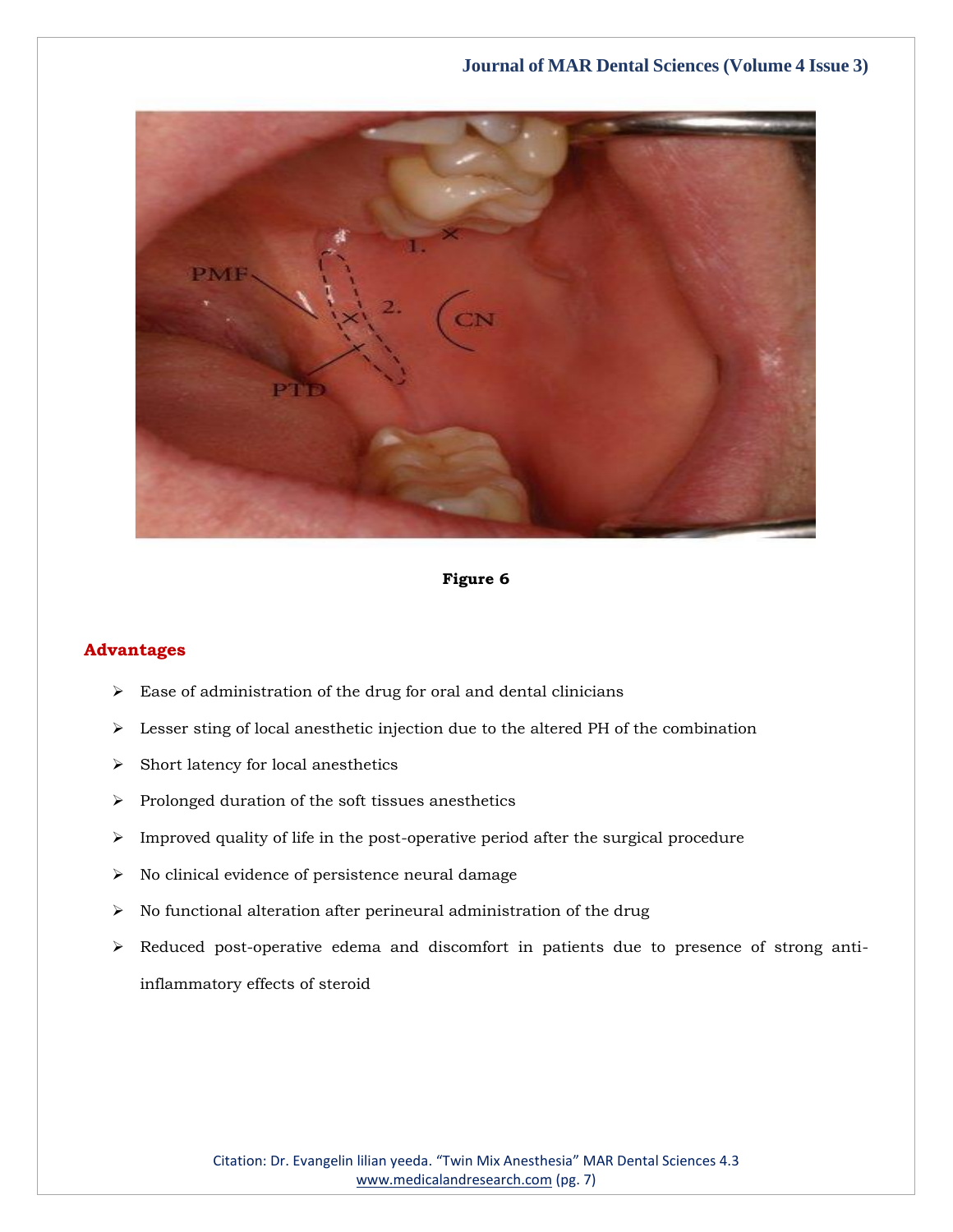

## **Figure 6**

## **Advantages**

- $\blacktriangleright$  Ease of administration of the drug for oral and dental clinicians
- ➢ Lesser sting of local anesthetic injection due to the altered PH of the combination
- ➢ Short latency for local anesthetics
- ➢ Prolonged duration of the soft tissues anesthetics
- ➢ Improved quality of life in the post-operative period after the surgical procedure
- ➢ No clinical evidence of persistence neural damage
- $\triangleright$  No functional alteration after perineural administration of the drug
- ➢ Reduced post-operative edema and discomfort in patients due to presence of strong antiinflammatory effects of steroid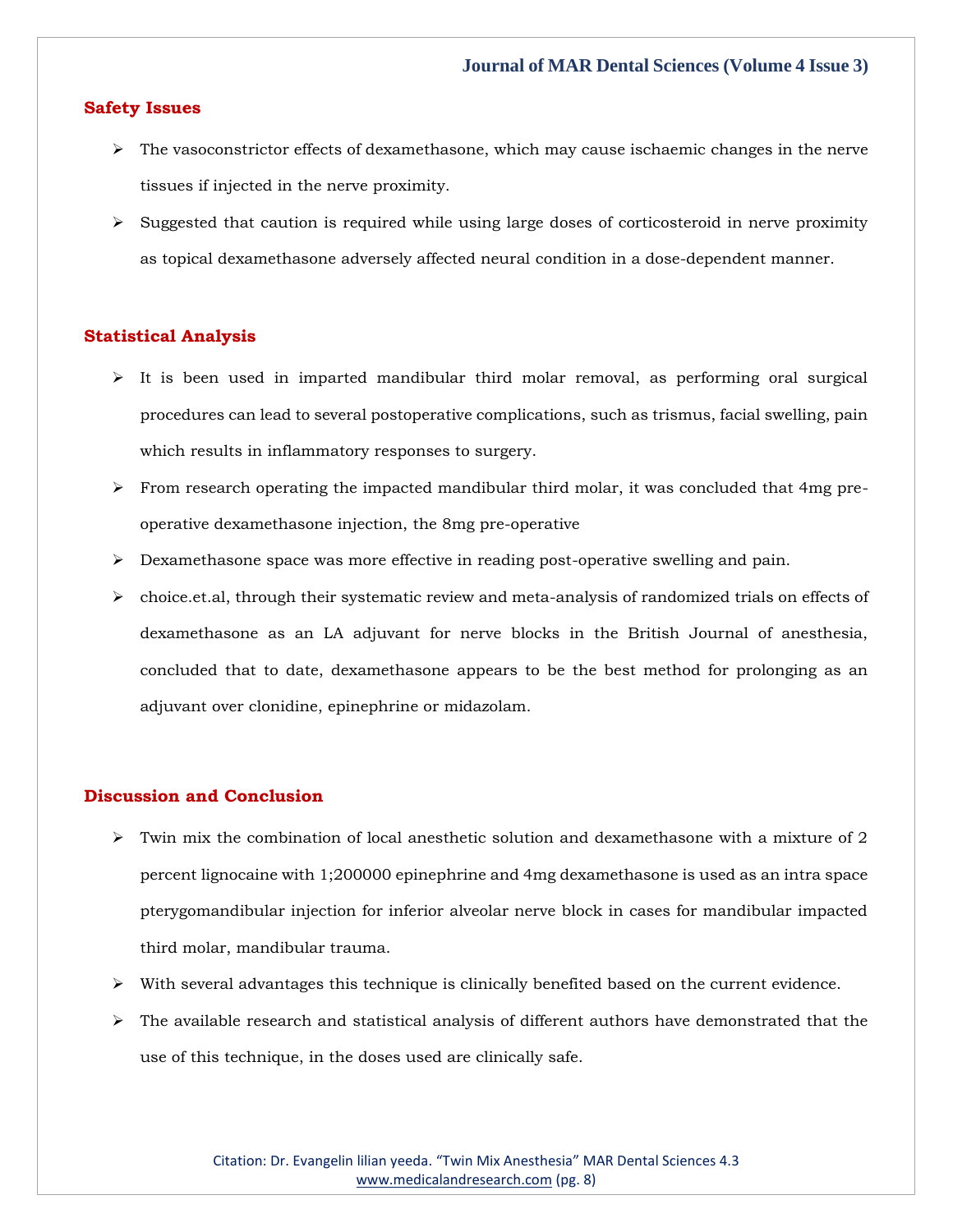#### **Safety Issues**

- ➢ The vasoconstrictor effects of dexamethasone, which may cause ischaemic changes in the nerve tissues if injected in the nerve proximity.
- $\triangleright$  Suggested that caution is required while using large doses of corticosteroid in nerve proximity as topical dexamethasone adversely affected neural condition in a dose-dependent manner.

#### **Statistical Analysis**

- $\triangleright$  It is been used in imparted mandibular third molar removal, as performing oral surgical procedures can lead to several postoperative complications, such as trismus, facial swelling, pain which results in inflammatory responses to surgery.
- $\triangleright$  From research operating the impacted mandibular third molar, it was concluded that 4mg preoperative dexamethasone injection, the 8mg pre-operative
- $\triangleright$  Dexamethasone space was more effective in reading post-operative swelling and pain.
- $\triangleright$  choice.et.al, through their systematic review and meta-analysis of randomized trials on effects of dexamethasone as an LA adjuvant for nerve blocks in the British Journal of anesthesia, concluded that to date, dexamethasone appears to be the best method for prolonging as an adjuvant over clonidine, epinephrine or midazolam.

## **Discussion and Conclusion**

- $\triangleright$  Twin mix the combination of local anesthetic solution and dexamethasone with a mixture of 2 percent lignocaine with 1;200000 epinephrine and 4mg dexamethasone is used as an intra space pterygomandibular injection for inferior alveolar nerve block in cases for mandibular impacted third molar, mandibular trauma.
- $\triangleright$  With several advantages this technique is clinically benefited based on the current evidence.
- $\triangleright$  The available research and statistical analysis of different authors have demonstrated that the use of this technique, in the doses used are clinically safe.